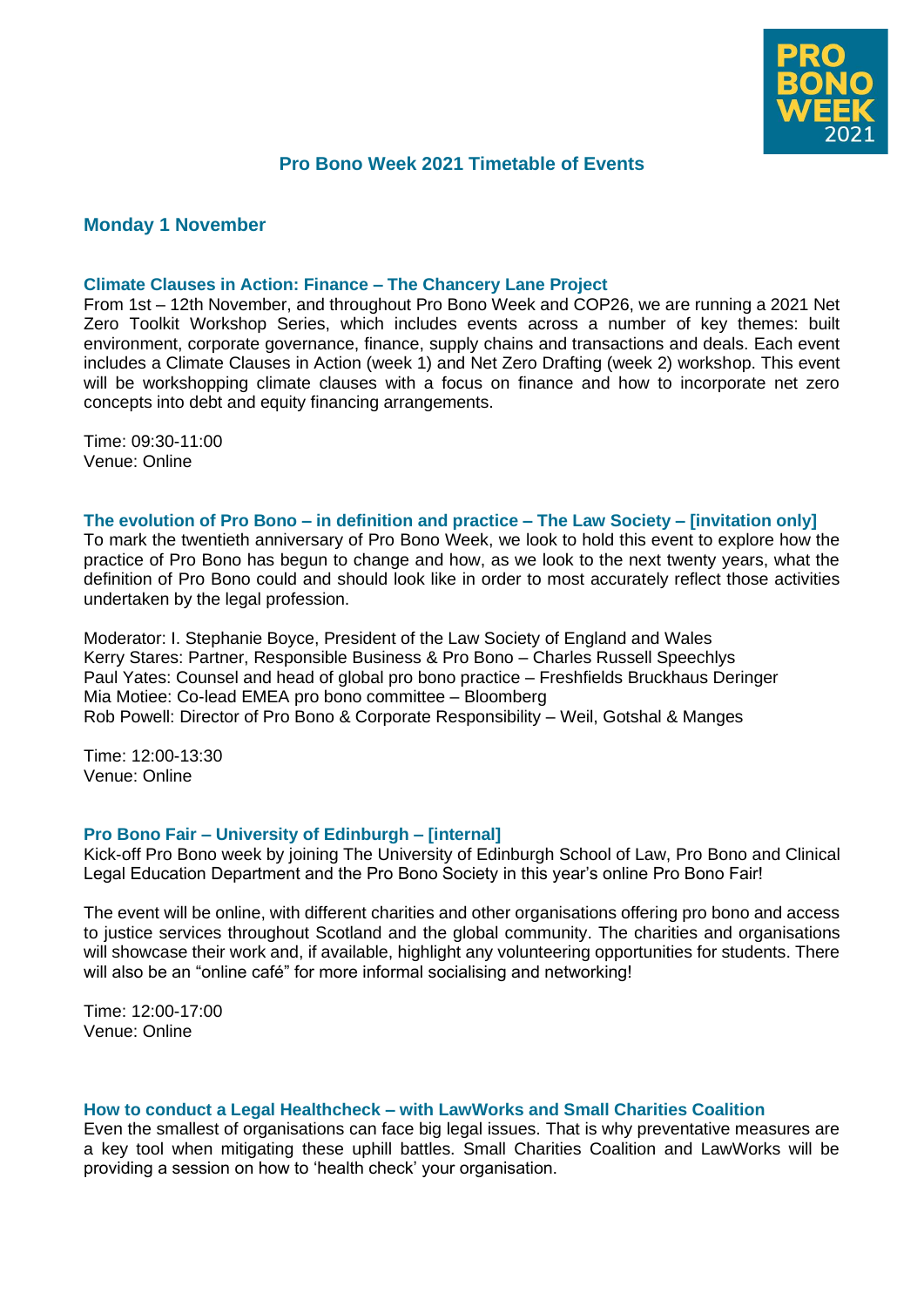

# **Pro Bono Week 2021 Timetable of Events**

## **Monday 1 November**

#### **Climate Clauses in Action: Finance – The Chancery Lane Project**

From 1st – 12th November, and throughout Pro Bono Week and COP26, we are running a 2021 Net Zero Toolkit Workshop Series, which includes events across a number of key themes: built environment, corporate governance, finance, supply chains and transactions and deals. Each event includes a Climate Clauses in Action (week 1) and Net Zero Drafting (week 2) workshop. This event will be workshopping climate clauses with a focus on finance and how to incorporate net zero concepts into debt and equity financing arrangements.

Time: 09:30-11:00 Venue: Online

#### **The evolution of Pro Bono – in definition and practice – The Law Society – [invitation only]**

To mark the twentieth anniversary of Pro Bono Week, we look to hold this event to explore how the practice of Pro Bono has begun to change and how, as we look to the next twenty years, what the definition of Pro Bono could and should look like in order to most accurately reflect those activities undertaken by the legal profession.

Moderator: I. Stephanie Boyce, President of the Law Society of England and Wales Kerry Stares: Partner, Responsible Business & Pro Bono – Charles Russell Speechlys Paul Yates: Counsel and head of global pro bono practice – Freshfields Bruckhaus Deringer Mia Motiee: Co-lead EMEA pro bono committee – Bloomberg Rob Powell: Director of Pro Bono & Corporate Responsibility – Weil, Gotshal & Manges

Time: 12:00-13:30 Venue: Online

### **Pro Bono Fair – University of Edinburgh – [internal]**

Kick-off Pro Bono week by joining The University of Edinburgh School of Law, Pro Bono and Clinical Legal Education Department and the Pro Bono Society in this year's online Pro Bono Fair!

The event will be online, with different charities and other organisations offering pro bono and access to justice services throughout Scotland and the global community. The charities and organisations will showcase their work and, if available, highlight any volunteering opportunities for students. There will also be an "online café" for more informal socialising and networking!

Time: 12:00-17:00 Venue: Online

#### **How to conduct a Legal Healthcheck – with LawWorks and Small Charities Coalition**

Even the smallest of organisations can face big legal issues. That is why preventative measures are a key tool when mitigating these uphill battles. Small Charities Coalition and LawWorks will be providing a session on how to 'health check' your organisation.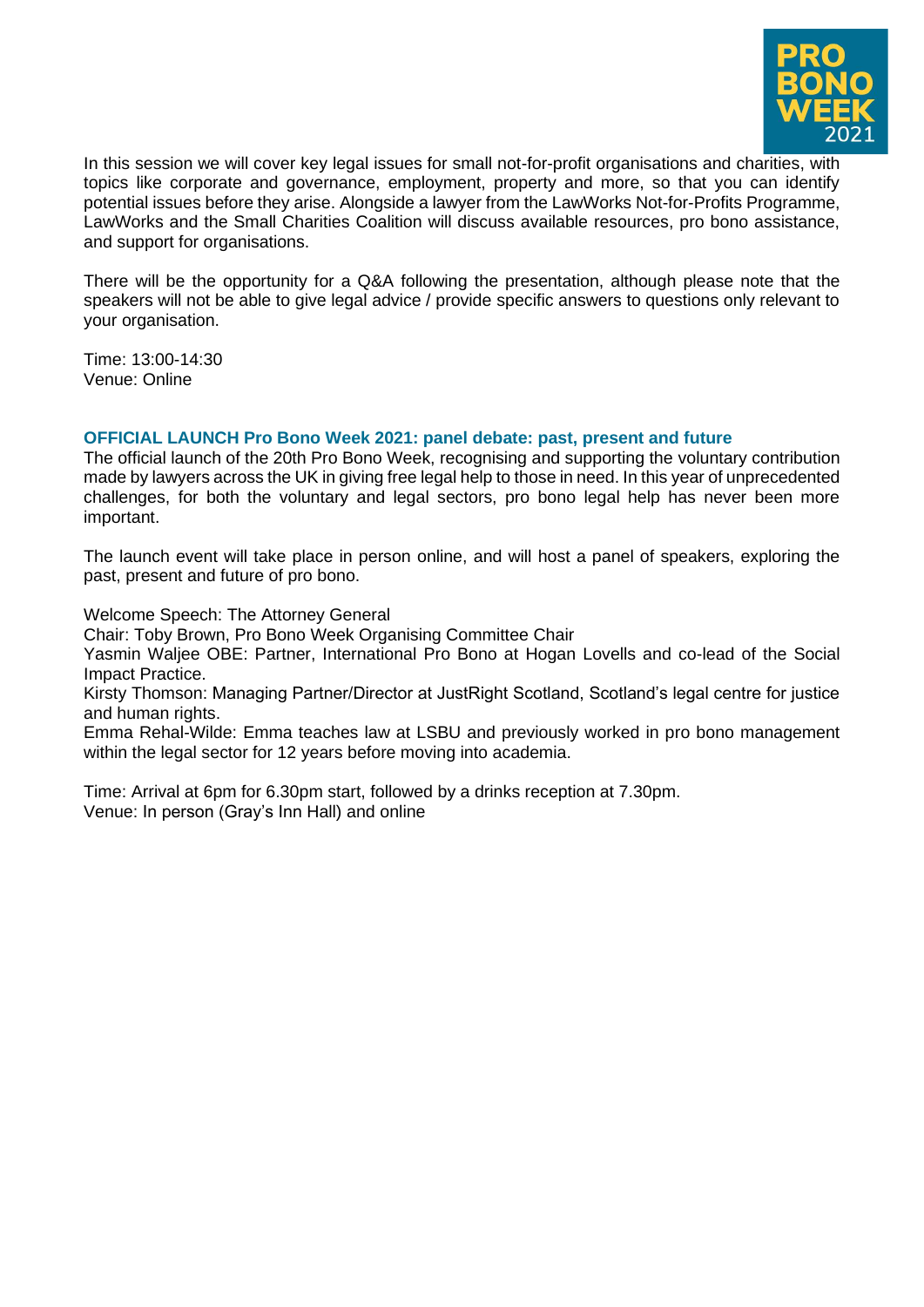

In this session we will cover key legal issues for small not-for-profit organisations and charities, with topics like corporate and governance, employment, property and more, so that you can identify potential issues before they arise. Alongside a lawyer from the LawWorks Not-for-Profits Programme, LawWorks and the Small Charities Coalition will discuss available resources, pro bono assistance, and support for organisations.

There will be the opportunity for a Q&A following the presentation, although please note that the speakers will not be able to give legal advice / provide specific answers to questions only relevant to your organisation.

Time: 13:00-14:30 Venue: Online

### **OFFICIAL LAUNCH Pro Bono Week 2021: panel debate: past, present and future**

The official launch of the 20th Pro Bono Week, recognising and supporting the voluntary contribution made by lawyers across the UK in giving free legal help to those in need. In this year of unprecedented challenges, for both the voluntary and legal sectors, pro bono legal help has never been more important.

The launch event will take place in person online, and will host a panel of speakers, exploring the past, present and future of pro bono.

Welcome Speech: The Attorney General

Chair: Toby Brown, Pro Bono Week Organising Committee Chair

Yasmin Waljee OBE: Partner, International Pro Bono at Hogan Lovells and co-lead of the Social Impact Practice.

Kirsty Thomson: Managing Partner/Director at JustRight Scotland, Scotland's legal centre for justice and human rights.

Emma Rehal-Wilde: Emma teaches law at LSBU and previously worked in pro bono management within the legal sector for 12 years before moving into academia.

Time: Arrival at 6pm for 6.30pm start, followed by a drinks reception at 7.30pm. Venue: In person (Gray's Inn Hall) and online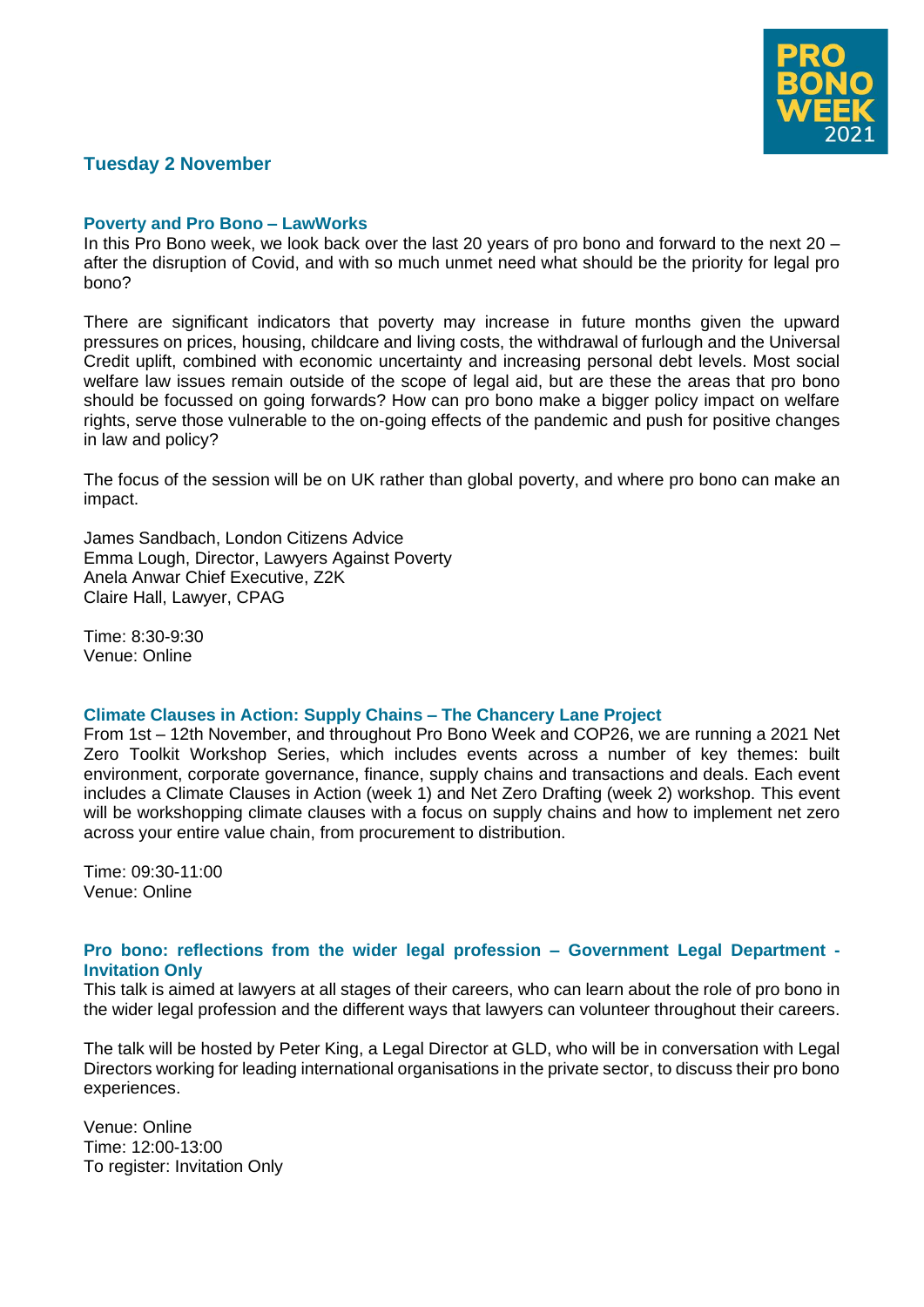

# **Tuesday 2 November**

### **Poverty and Pro Bono – LawWorks**

In this Pro Bono week, we look back over the last 20 years of pro bono and forward to the next 20 – after the disruption of Covid, and with so much unmet need what should be the priority for legal pro bono?

There are significant indicators that poverty may increase in future months given the upward pressures on prices, housing, childcare and living costs, the withdrawal of furlough and the Universal Credit uplift, combined with economic uncertainty and increasing personal debt levels. Most social welfare law issues remain outside of the scope of legal aid, but are these the areas that pro bono should be focussed on going forwards? How can pro bono make a bigger policy impact on welfare rights, serve those vulnerable to the on-going effects of the pandemic and push for positive changes in law and policy?

The focus of the session will be on UK rather than global poverty, and where pro bono can make an impact.

James Sandbach, London Citizens Advice Emma Lough, Director, Lawyers Against Poverty Anela Anwar Chief Executive, Z2K Claire Hall, Lawyer, CPAG

Time: 8:30-9:30 Venue: Online

### **Climate Clauses in Action: Supply Chains – The Chancery Lane Project**

From 1st – 12th November, and throughout Pro Bono Week and COP26, we are running a 2021 Net Zero Toolkit Workshop Series, which includes events across a number of key themes: built environment, corporate governance, finance, supply chains and transactions and deals. Each event includes a Climate Clauses in Action (week 1) and Net Zero Drafting (week 2) workshop. This event will be workshopping climate clauses with a focus on supply chains and how to implement net zero across your entire value chain, from procurement to distribution.

Time: 09:30-11:00 Venue: Online

### **Pro bono: reflections from the wider legal profession – Government Legal Department - Invitation Only**

This talk is aimed at lawyers at all stages of their careers, who can learn about the role of pro bono in the wider legal profession and the different ways that lawyers can volunteer throughout their careers.

The talk will be hosted by Peter King, a Legal Director at GLD, who will be in conversation with Legal Directors working for leading international organisations in the private sector, to discuss their pro bono experiences.

Venue: Online Time: 12:00-13:00 To register: Invitation Only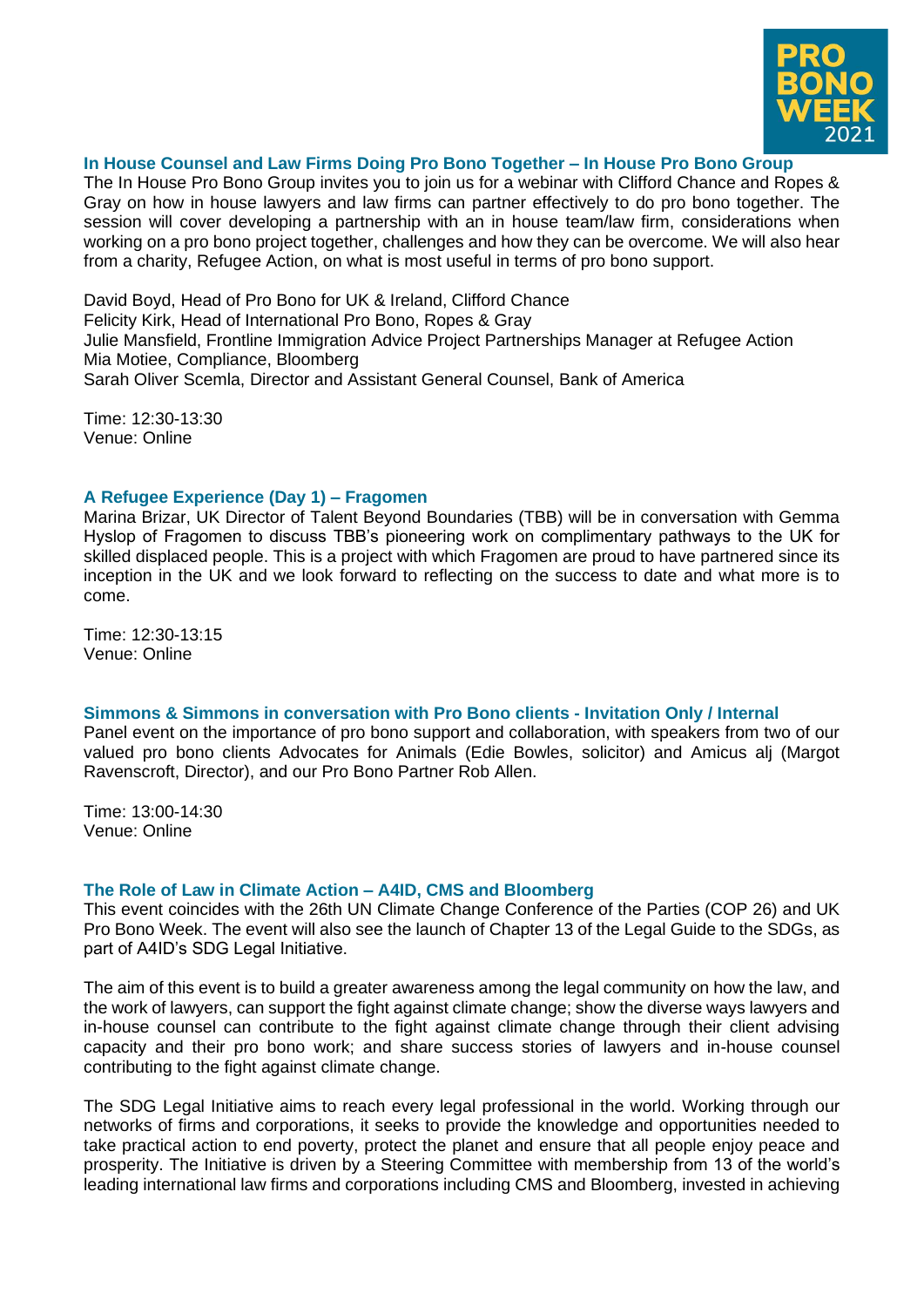

## **In House Counsel and Law Firms Doing Pro Bono Together – In House Pro Bono Group**

The In House Pro Bono Group invites you to join us for a webinar with Clifford Chance and Ropes & Gray on how in house lawyers and law firms can partner effectively to do pro bono together. The session will cover developing a partnership with an in house team/law firm, considerations when working on a pro bono project together, challenges and how they can be overcome. We will also hear from a charity, Refugee Action, on what is most useful in terms of pro bono support.

David Boyd, Head of Pro Bono for UK & Ireland, Clifford Chance Felicity Kirk, Head of International Pro Bono, Ropes & Gray Julie Mansfield, Frontline Immigration Advice Project Partnerships Manager at Refugee Action Mia Motiee, Compliance, Bloomberg Sarah Oliver Scemla, Director and Assistant General Counsel, Bank of America

Time: 12:30-13:30 Venue: Online

#### **A Refugee Experience (Day 1) – Fragomen**

Marina Brizar, UK Director of Talent Beyond Boundaries (TBB) will be in conversation with Gemma Hyslop of Fragomen to discuss TBB's pioneering work on complimentary pathways to the UK for skilled displaced people. This is a project with which Fragomen are proud to have partnered since its inception in the UK and we look forward to reflecting on the success to date and what more is to come.

Time: 12:30-13:15 Venue: Online

### **Simmons & Simmons in conversation with Pro Bono clients - Invitation Only / Internal**

Panel event on the importance of pro bono support and collaboration, with speakers from two of our valued pro bono clients Advocates for Animals (Edie Bowles, solicitor) and Amicus alj (Margot Ravenscroft, Director), and our Pro Bono Partner Rob Allen.

Time: 13:00-14:30 Venue: Online

### **The Role of Law in Climate Action – A4ID, CMS and Bloomberg**

This event coincides with the 26th UN Climate Change Conference of the Parties (COP 26) and UK Pro Bono Week. The event will also see the launch of Chapter 13 of the Legal Guide to the SDGs, as part of A4ID's SDG Legal Initiative.

The aim of this event is to build a greater awareness among the legal community on how the law, and the work of lawyers, can support the fight against climate change; show the diverse ways lawyers and in-house counsel can contribute to the fight against climate change through their client advising capacity and their pro bono work; and share success stories of lawyers and in-house counsel contributing to the fight against climate change.

The SDG Legal Initiative aims to reach every legal professional in the world. Working through our networks of firms and corporations, it seeks to provide the knowledge and opportunities needed to take practical action to end poverty, protect the planet and ensure that all people enjoy peace and prosperity. The Initiative is driven by a Steering Committee with membership from 13 of the world's leading international law firms and corporations including CMS and Bloomberg, invested in achieving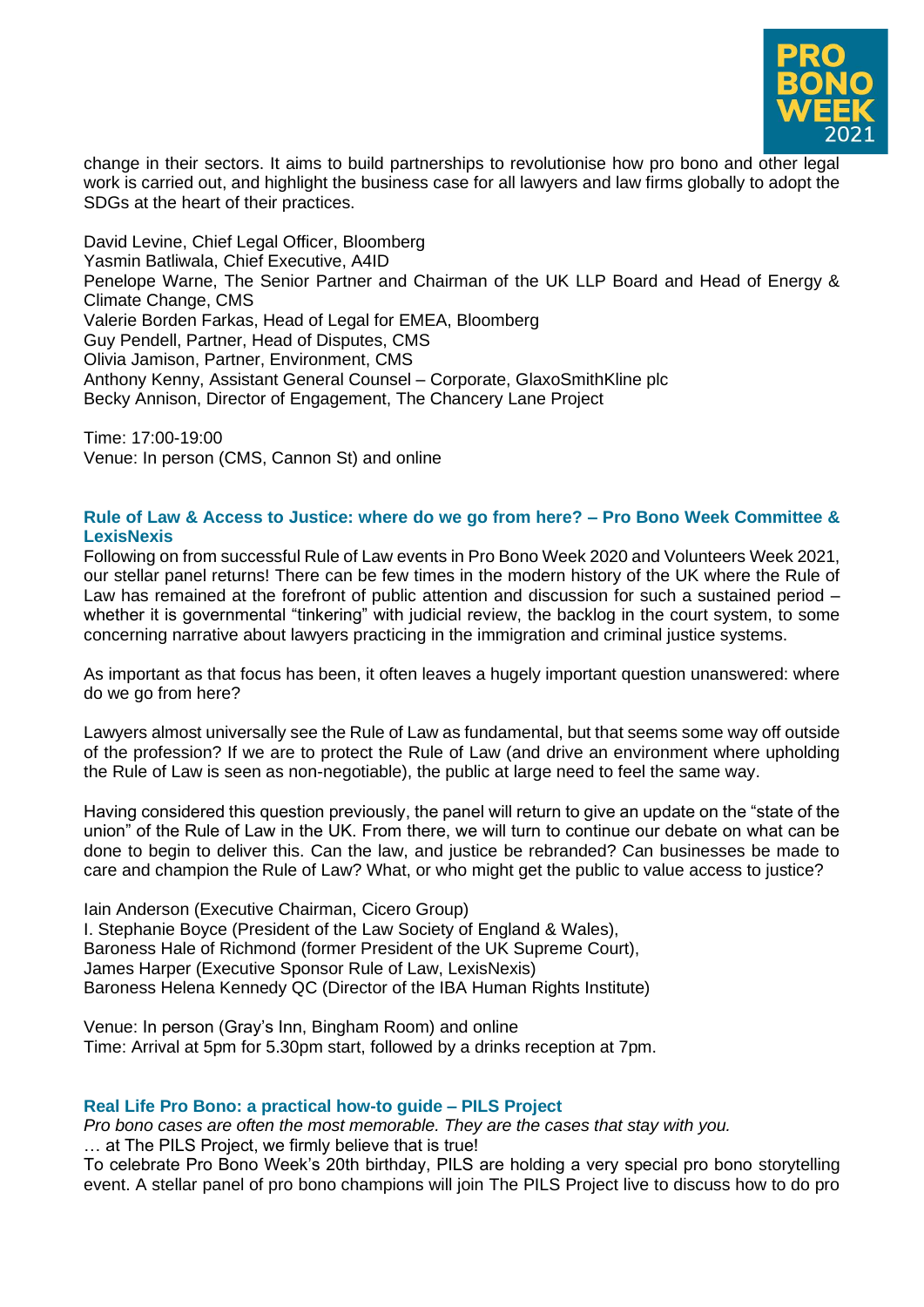

change in their sectors. It aims to build partnerships to revolutionise how pro bono and other legal work is carried out, and highlight the business case for all lawyers and law firms globally to adopt the SDGs at the heart of their practices.

David Levine, Chief Legal Officer, Bloomberg Yasmin Batliwala, Chief Executive, A4ID Penelope Warne, The Senior Partner and Chairman of the UK LLP Board and Head of Energy & Climate Change, CMS Valerie Borden Farkas, Head of Legal for EMEA, Bloomberg Guy Pendell, Partner, Head of Disputes, CMS Olivia Jamison, Partner, Environment, CMS Anthony Kenny, Assistant General Counsel – Corporate, GlaxoSmithKline plc Becky Annison, Director of Engagement, The Chancery Lane Project

Time: 17:00-19:00 Venue: In person (CMS, Cannon St) and online

## **Rule of Law & Access to Justice: where do we go from here? – Pro Bono Week Committee & LexisNexis**

Following on from successful Rule of Law events in Pro Bono Week 2020 and Volunteers Week 2021, our stellar panel returns! There can be few times in the modern history of the UK where the Rule of Law has remained at the forefront of public attention and discussion for such a sustained period – whether it is governmental "tinkering" with judicial review, the backlog in the court system, to some concerning narrative about lawyers practicing in the immigration and criminal justice systems.

As important as that focus has been, it often leaves a hugely important question unanswered: where do we go from here?

Lawyers almost universally see the Rule of Law as fundamental, but that seems some way off outside of the profession? If we are to protect the Rule of Law (and drive an environment where upholding the Rule of Law is seen as non-negotiable), the public at large need to feel the same way.

Having considered this question previously, the panel will return to give an update on the "state of the union" of the Rule of Law in the UK. From there, we will turn to continue our debate on what can be done to begin to deliver this. Can the law, and justice be rebranded? Can businesses be made to care and champion the Rule of Law? What, or who might get the public to value access to justice?

Iain Anderson (Executive Chairman, Cicero Group) I. Stephanie Boyce (President of the Law Society of England & Wales), Baroness Hale of Richmond (former President of the UK Supreme Court), James Harper (Executive Sponsor Rule of Law, LexisNexis) Baroness Helena Kennedy QC (Director of the IBA Human Rights Institute)

Venue: In person (Gray's Inn, Bingham Room) and online Time: Arrival at 5pm for 5.30pm start, followed by a drinks reception at 7pm.

## **Real Life Pro Bono: a practical how-to guide – PILS Project**

*Pro bono cases are often the most memorable. They are the cases that stay with you.*

… at The PILS Project, we firmly believe that is true!

To celebrate Pro Bono Week's 20th birthday, PILS are holding a very special pro bono storytelling event. A stellar panel of pro bono champions will join The PILS Project live to discuss how to do pro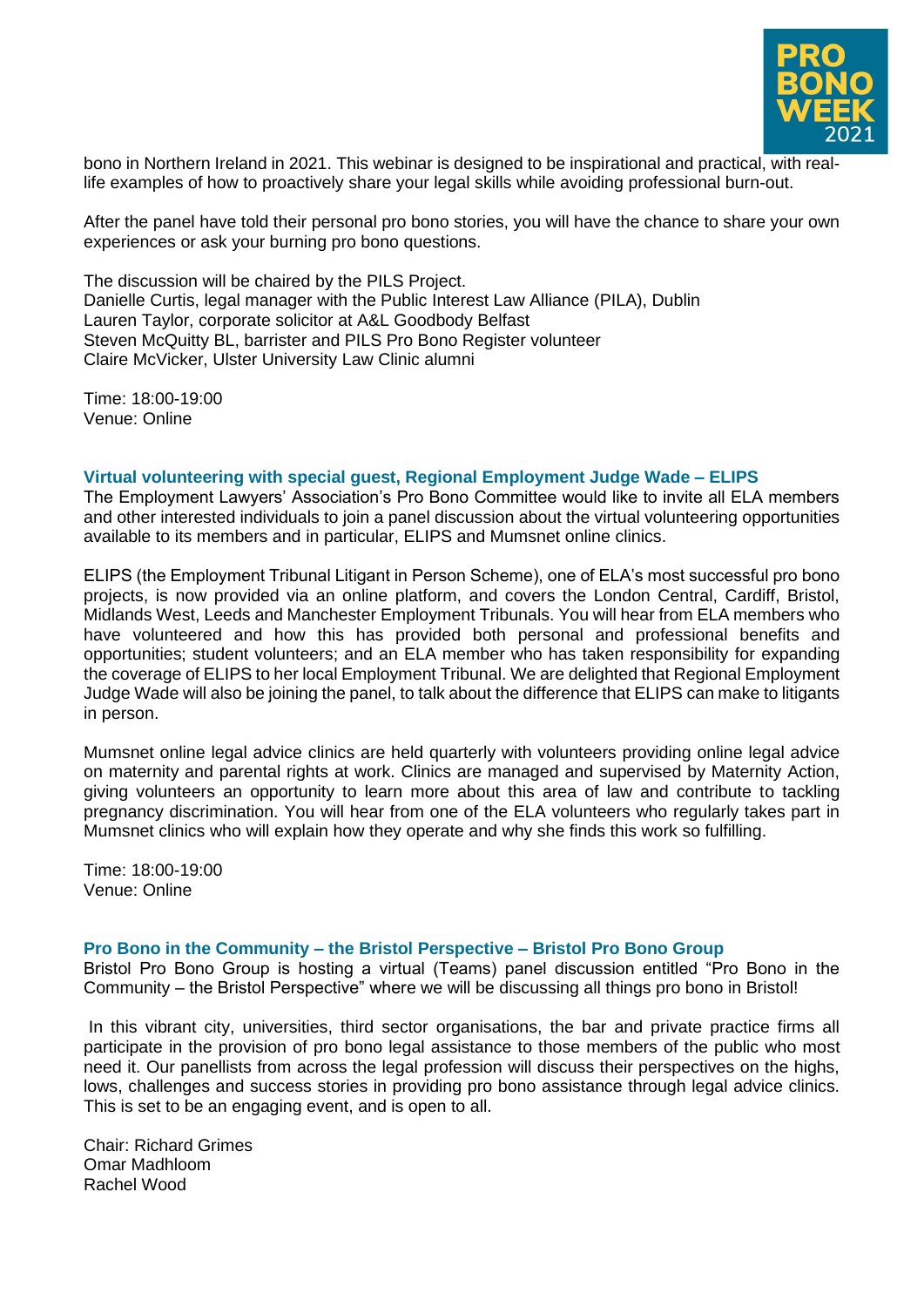

bono in Northern Ireland in 2021. This webinar is designed to be inspirational and practical, with reallife examples of how to proactively share your legal skills while avoiding professional burn-out.

After the panel have told their personal pro bono stories, you will have the chance to share your own experiences or ask your burning pro bono questions.

The discussion will be chaired by the PILS Project. Danielle Curtis, legal manager with the Public Interest Law Alliance (PILA), Dublin Lauren Taylor, corporate solicitor at A&L Goodbody Belfast Steven McQuitty BL, barrister and PILS Pro Bono Register volunteer Claire McVicker, Ulster University Law Clinic alumni

Time: 18:00-19:00 Venue: Online

### **Virtual volunteering with special guest, Regional Employment Judge Wade – ELIPS**

The Employment Lawyers' Association's Pro Bono Committee would like to invite all ELA members and other interested individuals to join a panel discussion about the virtual volunteering opportunities available to its members and in particular, ELIPS and Mumsnet online clinics.

ELIPS (the Employment Tribunal Litigant in Person Scheme), one of ELA's most successful pro bono projects, is now provided via an online platform, and covers the London Central, Cardiff, Bristol, Midlands West, Leeds and Manchester Employment Tribunals. You will hear from ELA members who have volunteered and how this has provided both personal and professional benefits and opportunities; student volunteers; and an ELA member who has taken responsibility for expanding the coverage of ELIPS to her local Employment Tribunal. We are delighted that Regional Employment Judge Wade will also be joining the panel, to talk about the difference that ELIPS can make to litigants in person.

Mumsnet online legal advice clinics are held quarterly with volunteers providing online legal advice on maternity and parental rights at work. Clinics are managed and supervised by Maternity Action, giving volunteers an opportunity to learn more about this area of law and contribute to tackling pregnancy discrimination. You will hear from one of the ELA volunteers who regularly takes part in Mumsnet clinics who will explain how they operate and why she finds this work so fulfilling.

Time: 18:00-19:00 Venue: Online

## **Pro Bono in the Community – the Bristol Perspective – Bristol Pro Bono Group**

Bristol Pro Bono Group is hosting a virtual (Teams) panel discussion entitled "Pro Bono in the Community – the Bristol Perspective" where we will be discussing all things pro bono in Bristol!

In this vibrant city, universities, third sector organisations, the bar and private practice firms all participate in the provision of pro bono legal assistance to those members of the public who most need it. Our panellists from across the legal profession will discuss their perspectives on the highs, lows, challenges and success stories in providing pro bono assistance through legal advice clinics. This is set to be an engaging event, and is open to all.

Chair: Richard Grimes Omar Madhloom Rachel Wood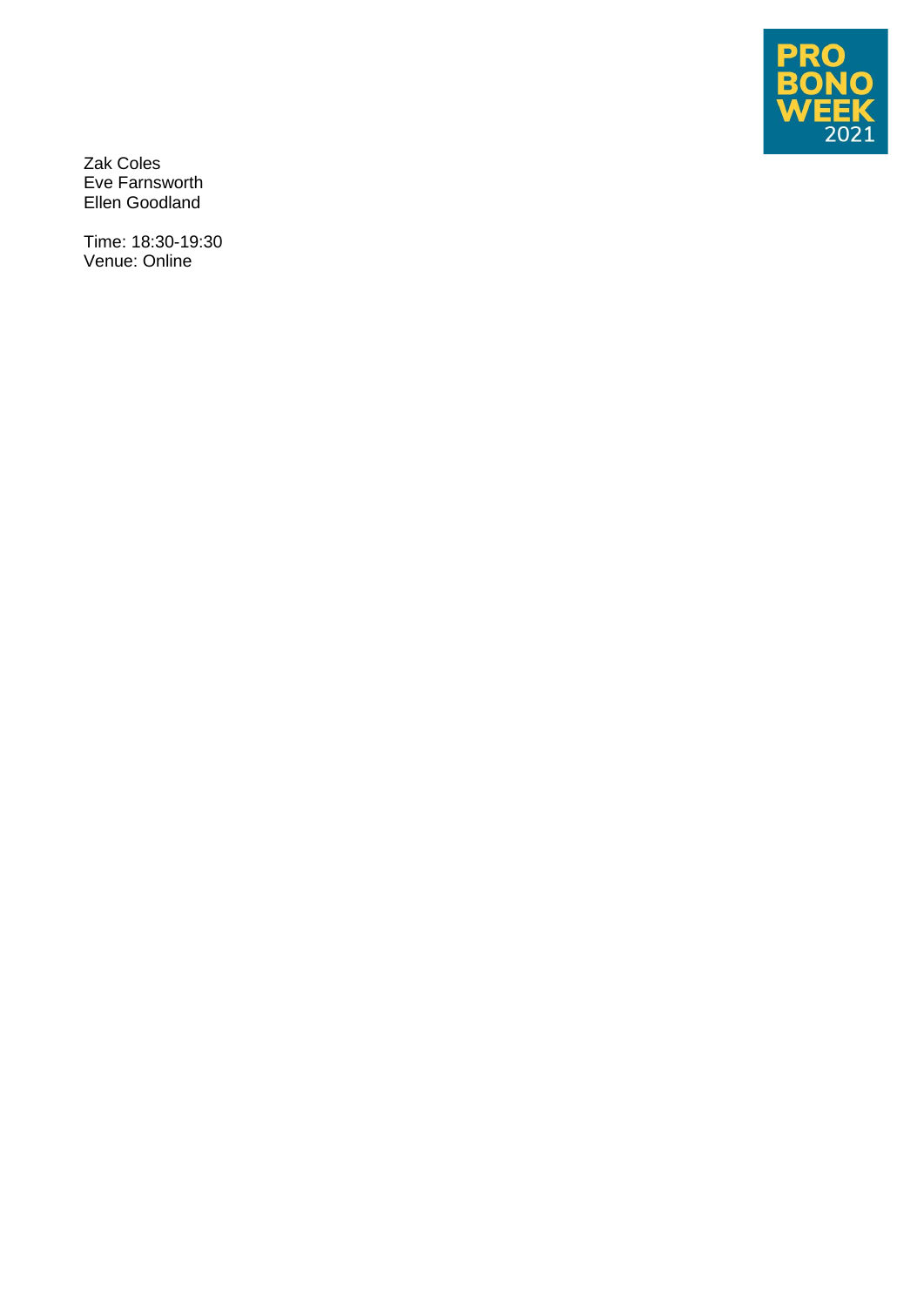

Zak Coles Eve Farnsworth Ellen Goodland

Time: 18:30-19:30 Venue: Online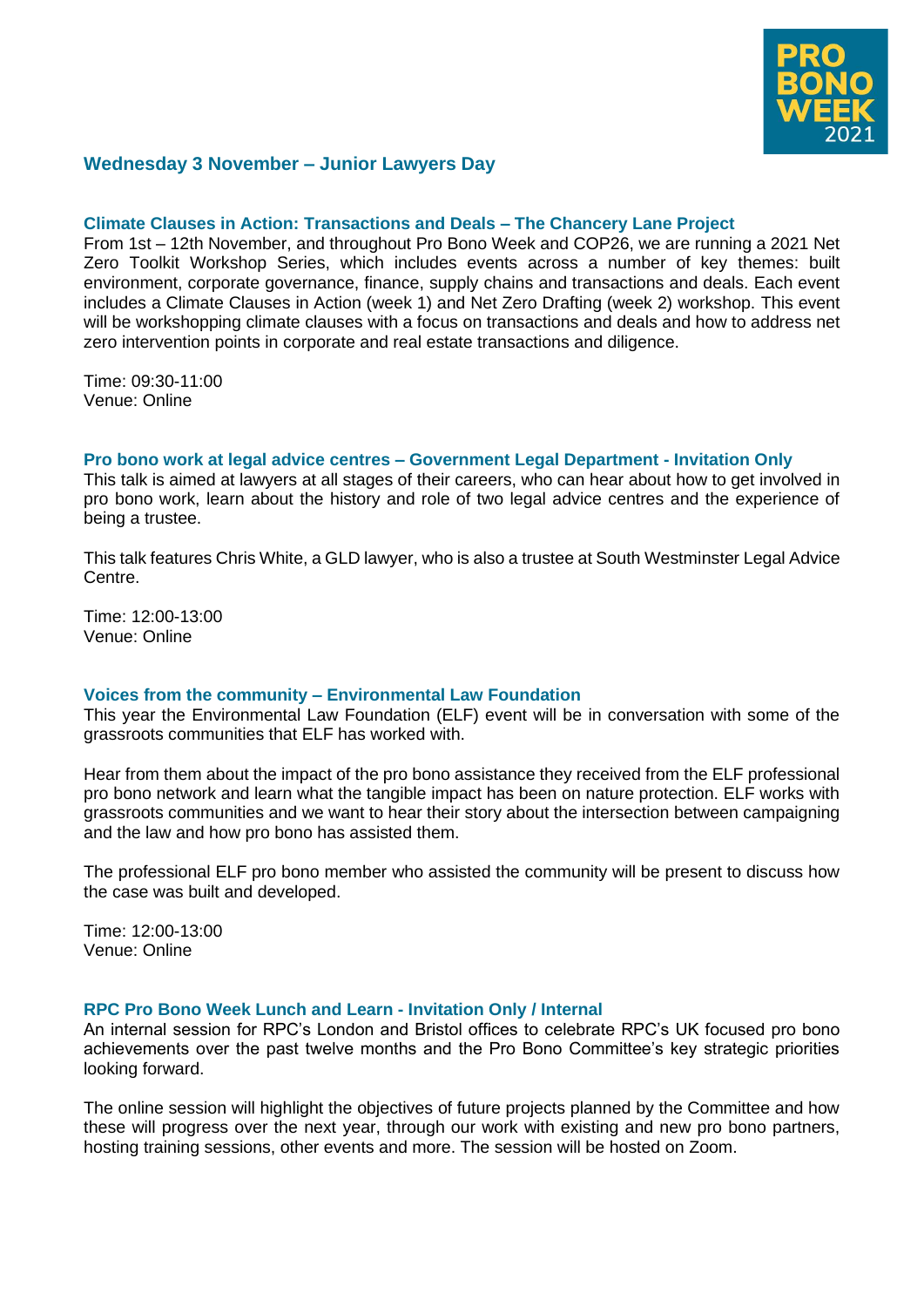

# **Wednesday 3 November – Junior Lawyers Day**

### **Climate Clauses in Action: Transactions and Deals – The Chancery Lane Project**

From 1st – 12th November, and throughout Pro Bono Week and COP26, we are running a 2021 Net Zero Toolkit Workshop Series, which includes events across a number of key themes: built environment, corporate governance, finance, supply chains and transactions and deals. Each event includes a Climate Clauses in Action (week 1) and Net Zero Drafting (week 2) workshop. This event will be workshopping climate clauses with a focus on transactions and deals and how to address net zero intervention points in corporate and real estate transactions and diligence.

Time: 09:30-11:00 Venue: Online

### **Pro bono work at legal advice centres – Government Legal Department - Invitation Only**

This talk is aimed at lawyers at all stages of their careers, who can hear about how to get involved in pro bono work, learn about the history and role of two legal advice centres and the experience of being a trustee.

This talk features Chris White, a GLD lawyer, who is also a trustee at South Westminster Legal Advice Centre.

Time: 12:00-13:00 Venue: Online

### **Voices from the community – Environmental Law Foundation**

This year the Environmental Law Foundation (ELF) event will be in conversation with some of the grassroots communities that ELF has worked with.

Hear from them about the impact of the pro bono assistance they received from the ELF professional pro bono network and learn what the tangible impact has been on nature protection. ELF works with grassroots communities and we want to hear their story about the intersection between campaigning and the law and how pro bono has assisted them.

The professional ELF pro bono member who assisted the community will be present to discuss how the case was built and developed.

Time: 12:00-13:00 Venue: Online

### **RPC Pro Bono Week Lunch and Learn - Invitation Only / Internal**

An internal session for RPC's London and Bristol offices to celebrate RPC's UK focused pro bono achievements over the past twelve months and the Pro Bono Committee's key strategic priorities looking forward.

The online session will highlight the objectives of future projects planned by the Committee and how these will progress over the next year, through our work with existing and new pro bono partners, hosting training sessions, other events and more. The session will be hosted on Zoom.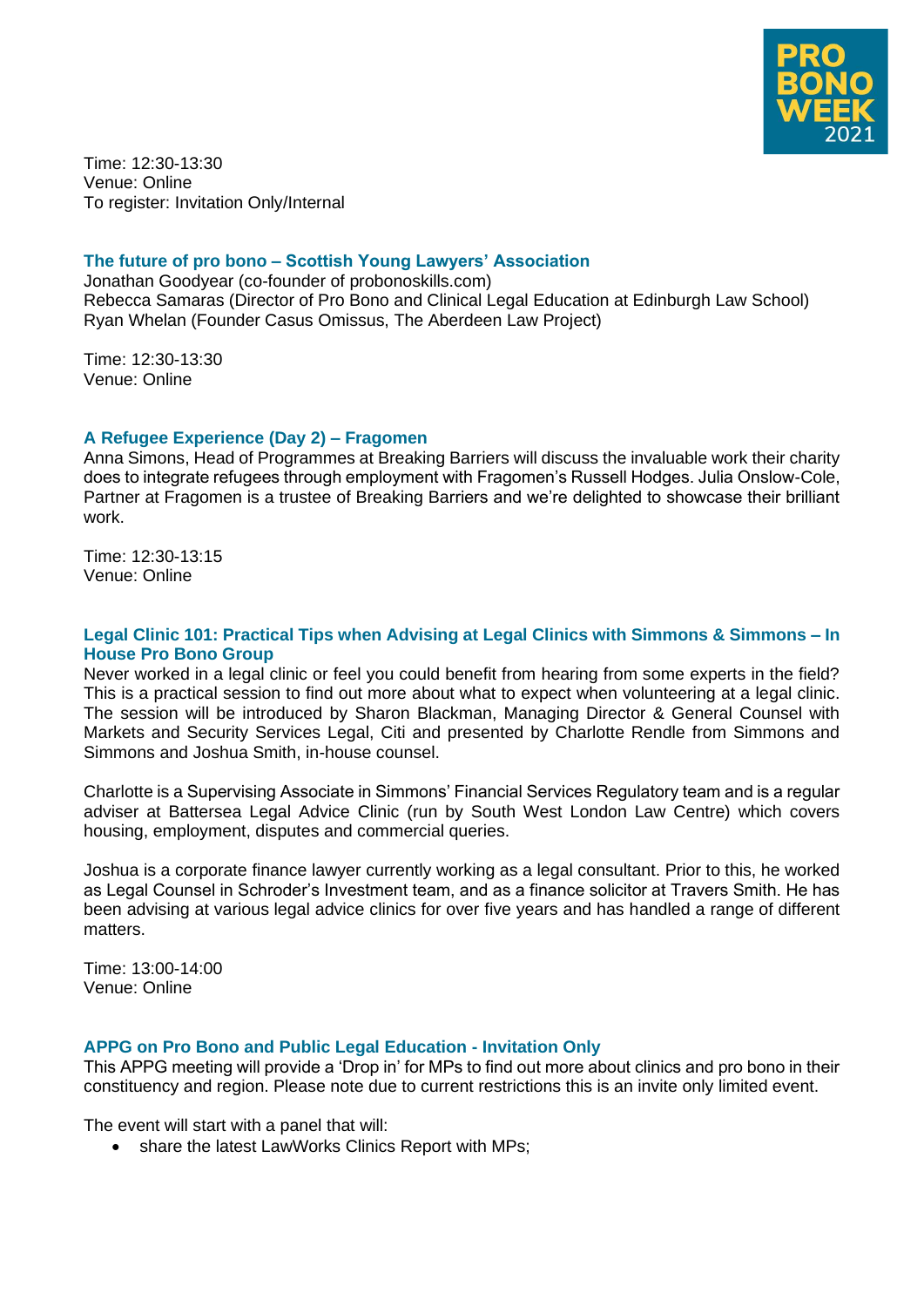

Time: 12:30-13:30 Venue: Online To register: Invitation Only/Internal

## **The future of pro bono – Scottish Young Lawyers' Association**

Jonathan Goodyear (co-founder of probonoskills.com) Rebecca Samaras (Director of Pro Bono and Clinical Legal Education at Edinburgh Law School) Ryan Whelan (Founder Casus Omissus, The Aberdeen Law Project)

Time: 12:30-13:30 Venue: Online

## **A Refugee Experience (Day 2) – Fragomen**

Anna Simons, Head of Programmes at Breaking Barriers will discuss the invaluable work their charity does to integrate refugees through employment with Fragomen's Russell Hodges. Julia Onslow-Cole, Partner at Fragomen is a trustee of Breaking Barriers and we're delighted to showcase their brilliant work.

Time: 12:30-13:15 Venue: Online

## **Legal Clinic 101: Practical Tips when Advising at Legal Clinics with Simmons & Simmons – In House Pro Bono Group**

Never worked in a legal clinic or feel you could benefit from hearing from some experts in the field? This is a practical session to find out more about what to expect when volunteering at a legal clinic. The session will be introduced by Sharon Blackman, Managing Director & General Counsel with Markets and Security Services Legal, Citi and presented by Charlotte Rendle from Simmons and Simmons and Joshua Smith, in-house counsel.

Charlotte is a Supervising Associate in Simmons' Financial Services Regulatory team and is a regular adviser at Battersea Legal Advice Clinic (run by South West London Law Centre) which covers housing, employment, disputes and commercial queries.

Joshua is a corporate finance lawyer currently working as a legal consultant. Prior to this, he worked as Legal Counsel in Schroder's Investment team, and as a finance solicitor at Travers Smith. He has been advising at various legal advice clinics for over five years and has handled a range of different matters.

Time: 13:00-14:00 Venue: Online

## **APPG on Pro Bono and Public Legal Education - Invitation Only**

This APPG meeting will provide a 'Drop in' for MPs to find out more about clinics and pro bono in their constituency and region. Please note due to current restrictions this is an invite only limited event.

The event will start with a panel that will:

• share the latest LawWorks Clinics Report with MPs;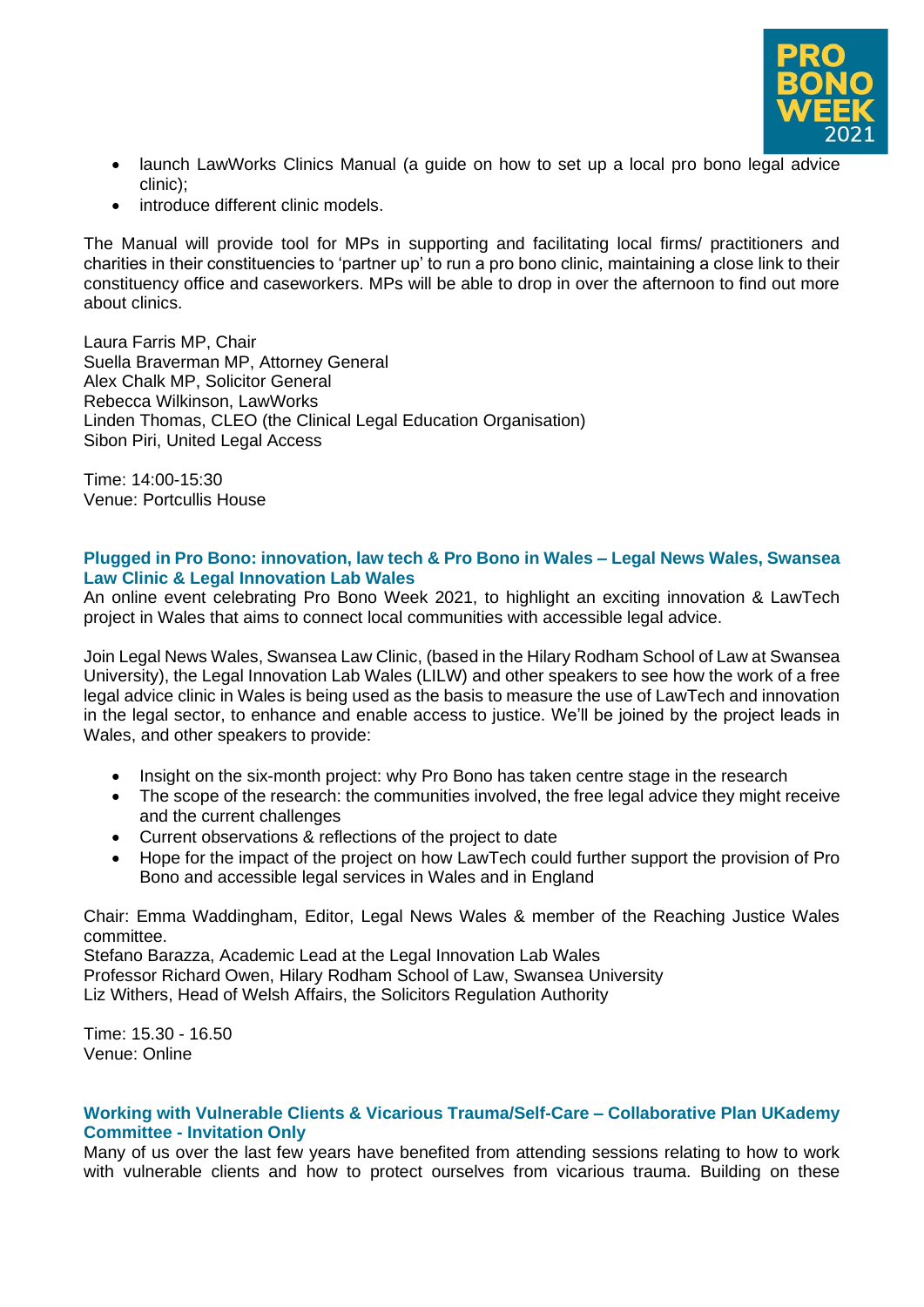

- launch LawWorks Clinics Manual (a guide on how to set up a local pro bono legal advice clinic);
- introduce different clinic models.

The Manual will provide tool for MPs in supporting and facilitating local firms/ practitioners and charities in their constituencies to 'partner up' to run a pro bono clinic, maintaining a close link to their constituency office and caseworkers. MPs will be able to drop in over the afternoon to find out more about clinics.

Laura Farris MP, Chair Suella Braverman MP, Attorney General Alex Chalk MP, Solicitor General Rebecca Wilkinson, LawWorks Linden Thomas, CLEO (the Clinical Legal Education Organisation) Sibon Piri, United Legal Access

Time: 14:00-15:30 Venue: Portcullis House

## **Plugged in Pro Bono: innovation, law tech & Pro Bono in Wales – Legal News Wales, Swansea Law Clinic & Legal Innovation Lab Wales**

An online event celebrating Pro Bono Week 2021, to highlight an exciting innovation & LawTech project in Wales that aims to connect local communities with accessible legal advice.

Join Legal News Wales, Swansea Law Clinic, (based in the Hilary Rodham School of Law at Swansea University), the Legal Innovation Lab Wales (LILW) and other speakers to see how the work of a free legal advice clinic in Wales is being used as the basis to measure the use of LawTech and innovation in the legal sector, to enhance and enable access to justice. We'll be joined by the project leads in Wales, and other speakers to provide:

- Insight on the six-month project: why Pro Bono has taken centre stage in the research
- The scope of the research: the communities involved, the free legal advice they might receive and the current challenges
- Current observations & reflections of the project to date
- Hope for the impact of the project on how LawTech could further support the provision of Pro Bono and accessible legal services in Wales and in England

Chair: Emma Waddingham, Editor, Legal News Wales & member of the Reaching Justice Wales committee.

Stefano Barazza, Academic Lead at the Legal Innovation Lab Wales Professor Richard Owen, Hilary Rodham School of Law, Swansea University Liz Withers, Head of Welsh Affairs, the Solicitors Regulation Authority

Time: 15.30 - 16.50 Venue: Online

## **Working with Vulnerable Clients & Vicarious Trauma/Self-Care – Collaborative Plan UKademy Committee - Invitation Only**

Many of us over the last few years have benefited from attending sessions relating to how to work with vulnerable clients and how to protect ourselves from vicarious trauma. Building on these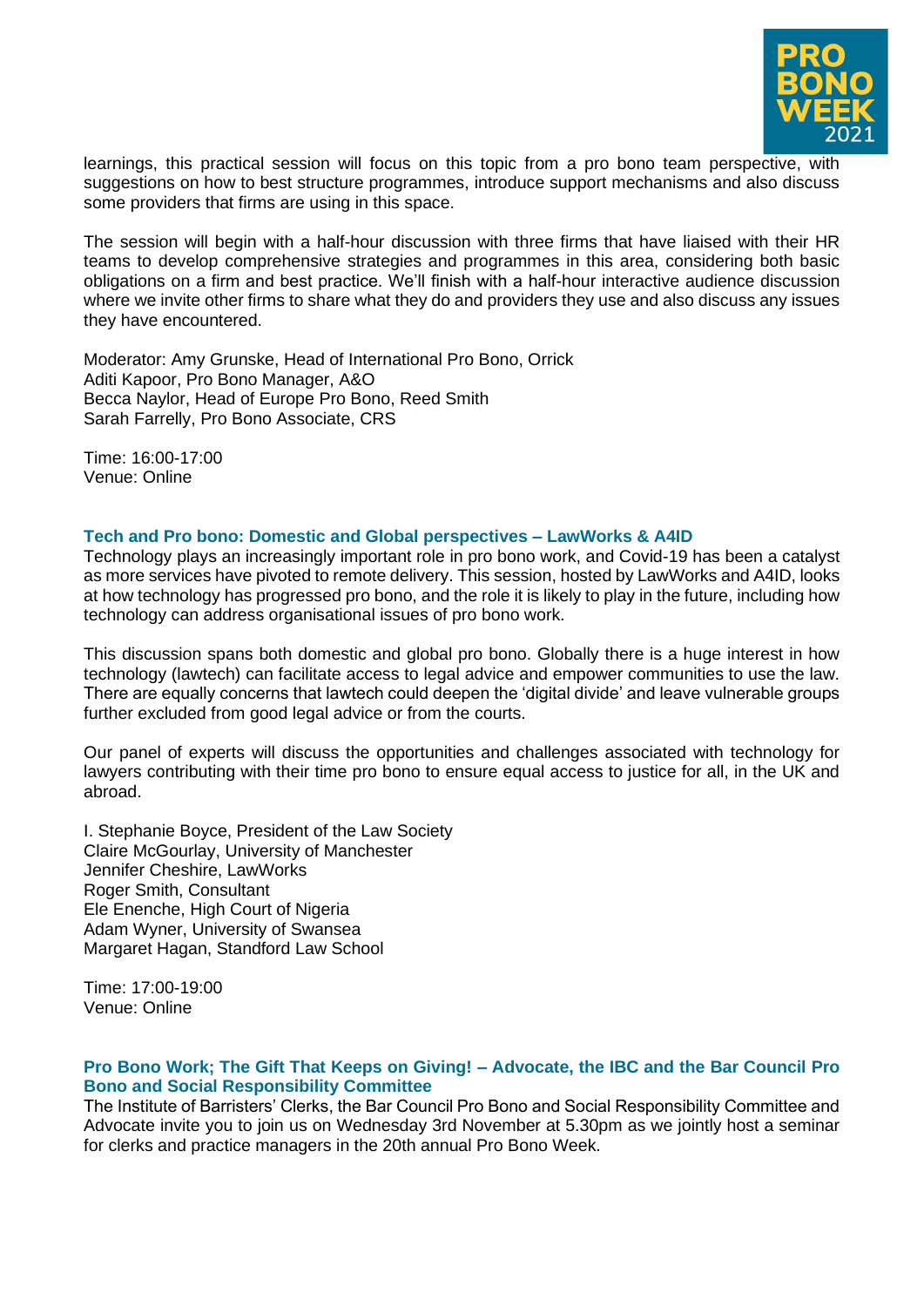

learnings, this practical session will focus on this topic from a pro bono team perspective, with suggestions on how to best structure programmes, introduce support mechanisms and also discuss some providers that firms are using in this space.

The session will begin with a half-hour discussion with three firms that have liaised with their HR teams to develop comprehensive strategies and programmes in this area, considering both basic obligations on a firm and best practice. We'll finish with a half-hour interactive audience discussion where we invite other firms to share what they do and providers they use and also discuss any issues they have encountered.

Moderator: Amy Grunske, Head of International Pro Bono, Orrick Aditi Kapoor, Pro Bono Manager, A&O Becca Naylor, Head of Europe Pro Bono, Reed Smith Sarah Farrelly, Pro Bono Associate, CRS

Time: 16:00-17:00 Venue: Online

### **Tech and Pro bono: Domestic and Global perspectives – LawWorks & A4ID**

Technology plays an increasingly important role in pro bono work, and Covid-19 has been a catalyst as more services have pivoted to remote delivery. This session, hosted by LawWorks and A4ID, looks at how technology has progressed pro bono, and the role it is likely to play in the future, including how technology can address organisational issues of pro bono work.

This discussion spans both domestic and global pro bono. Globally there is a huge interest in how technology (lawtech) can facilitate access to legal advice and empower communities to use the law. There are equally concerns that lawtech could deepen the 'digital divide' and leave vulnerable groups further excluded from good legal advice or from the courts.

Our panel of experts will discuss the opportunities and challenges associated with technology for lawyers contributing with their time pro bono to ensure equal access to justice for all, in the UK and abroad.

I. Stephanie Boyce, President of the Law Society Claire McGourlay, University of Manchester Jennifer Cheshire, LawWorks Roger Smith, Consultant Ele Enenche, High Court of Nigeria Adam Wyner, University of Swansea Margaret Hagan, Standford Law School

Time: 17:00-19:00 Venue: Online

### **Pro Bono Work; The Gift That Keeps on Giving! – Advocate, the IBC and the Bar Council Pro Bono and Social Responsibility Committee**

The Institute of Barristers' Clerks, the Bar Council Pro Bono and Social Responsibility Committee and Advocate invite you to join us on Wednesday 3rd November at 5.30pm as we jointly host a seminar for clerks and practice managers in the 20th annual Pro Bono Week.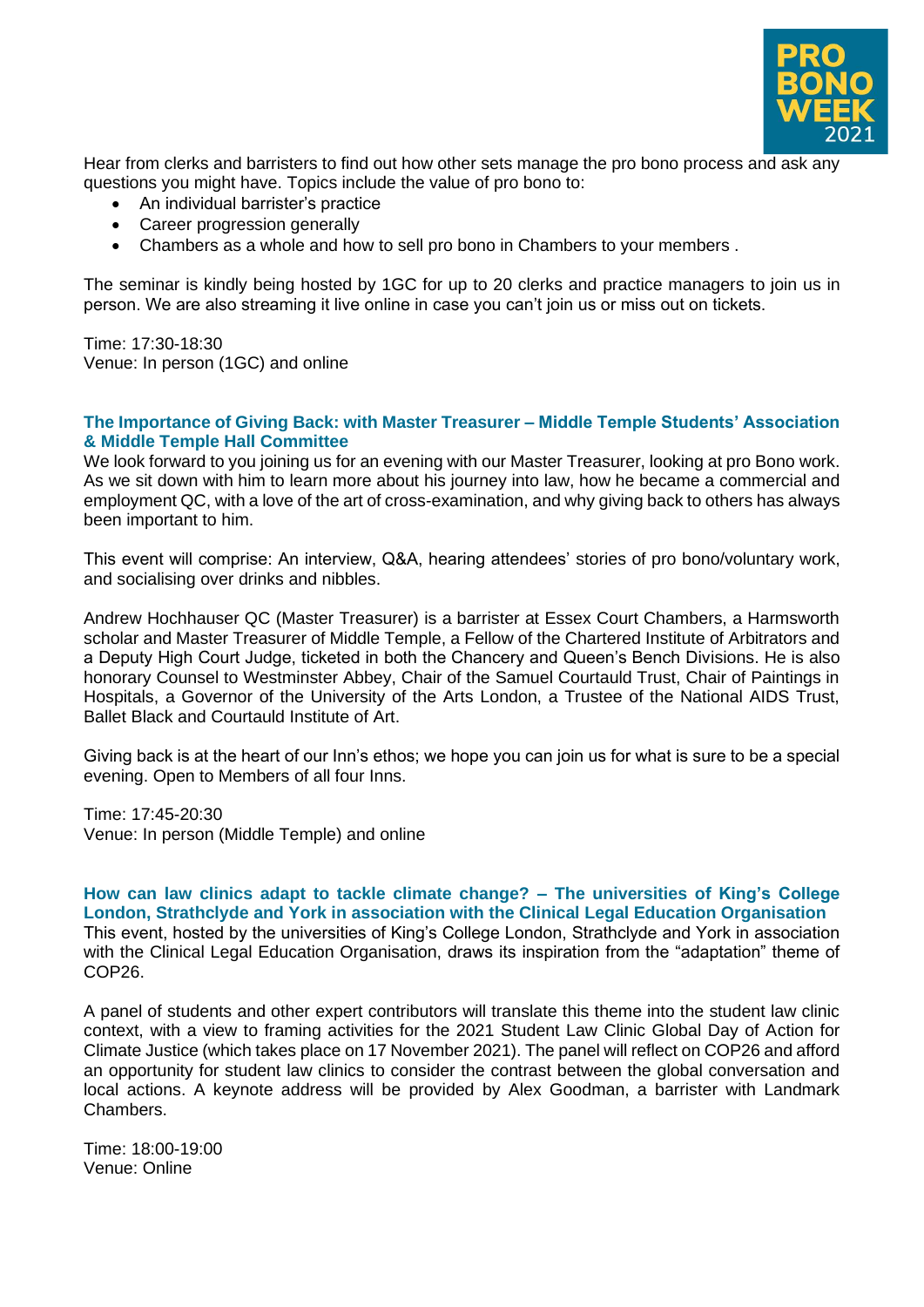

Hear from clerks and barristers to find out how other sets manage the pro bono process and ask any questions you might have. Topics include the value of pro bono to:

- An individual barrister's practice
- Career progression generally
- Chambers as a whole and how to sell pro bono in Chambers to your members .

The seminar is kindly being hosted by 1GC for up to 20 clerks and practice managers to join us in person. We are also streaming it live online in case you can't join us or miss out on tickets.

Time: 17:30-18:30 Venue: In person (1GC) and online

### **The Importance of Giving Back: with Master Treasurer – Middle Temple Students' Association & Middle Temple Hall Committee**

We look forward to you joining us for an evening with our Master Treasurer, looking at pro Bono work. As we sit down with him to learn more about his journey into law, how he became a commercial and employment QC, with a love of the art of cross-examination, and why giving back to others has always been important to him.

This event will comprise: An interview, Q&A, hearing attendees' stories of pro bono/voluntary work, and socialising over drinks and nibbles.

Andrew Hochhauser QC (Master Treasurer) is a barrister at Essex Court Chambers, a Harmsworth scholar and Master Treasurer of Middle Temple, a Fellow of the Chartered Institute of Arbitrators and a Deputy High Court Judge, ticketed in both the Chancery and Queen's Bench Divisions. He is also honorary Counsel to Westminster Abbey, Chair of the Samuel Courtauld Trust, Chair of Paintings in Hospitals, a Governor of the University of the Arts London, a Trustee of the National AIDS Trust, Ballet Black and Courtauld Institute of Art.

Giving back is at the heart of our Inn's ethos; we hope you can join us for what is sure to be a special evening. Open to Members of all four Inns.

Time: 17:45-20:30 Venue: In person (Middle Temple) and online

#### **How can law clinics adapt to tackle climate change? – The universities of King's College London, Strathclyde and York in association with the Clinical Legal Education Organisation** This event, hosted by the universities of King's College London, Strathclyde and York in association

with the Clinical Legal Education Organisation, draws its inspiration from the "adaptation" theme of COP26.

A panel of students and other expert contributors will translate this theme into the student law clinic context, with a view to framing activities for the 2021 Student Law Clinic Global Day of Action for Climate Justice (which takes place on 17 November 2021). The panel will reflect on COP26 and afford an opportunity for student law clinics to consider the contrast between the global conversation and local actions. A keynote address will be provided by Alex Goodman, a barrister with Landmark Chambers.

Time: 18:00-19:00 Venue: Online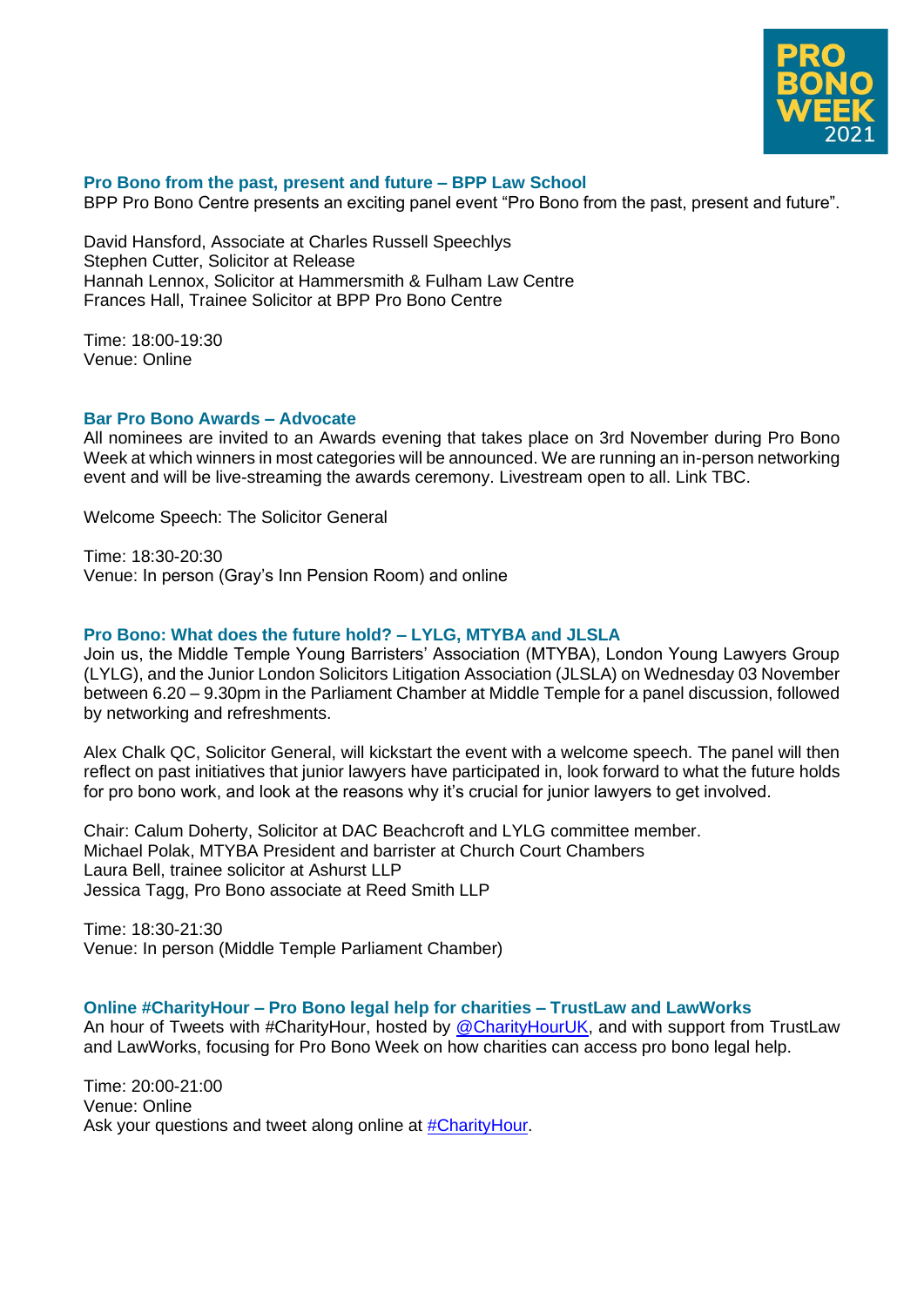

# **Pro Bono from the past, present and future – BPP Law School**

BPP Pro Bono Centre presents an exciting panel event "Pro Bono from the past, present and future".

David Hansford, Associate at Charles Russell Speechlys Stephen Cutter, Solicitor at Release Hannah Lennox, Solicitor at Hammersmith & Fulham Law Centre Frances Hall, Trainee Solicitor at BPP Pro Bono Centre

Time: 18:00-19:30 Venue: Online

### **Bar Pro Bono Awards – Advocate**

All nominees are invited to an Awards evening that takes place on 3rd November during Pro Bono Week at which winners in most categories will be announced. We are running an in-person networking event and will be live-streaming the awards ceremony. Livestream open to all. Link TBC.

Welcome Speech: The Solicitor General

Time: 18:30-20:30 Venue: In person (Gray's Inn Pension Room) and online

### **Pro Bono: What does the future hold? – LYLG, MTYBA and JLSLA**

Join us, the Middle Temple Young Barristers' Association (MTYBA), London Young Lawyers Group (LYLG), and the Junior London Solicitors Litigation Association (JLSLA) on Wednesday 03 November between 6.20 – 9.30pm in the Parliament Chamber at Middle Temple for a panel discussion, followed by networking and refreshments.

Alex Chalk QC, Solicitor General, will kickstart the event with a welcome speech. The panel will then reflect on past initiatives that junior lawyers have participated in, look forward to what the future holds for pro bono work, and look at the reasons why it's crucial for junior lawyers to get involved.

Chair: Calum Doherty, Solicitor at DAC Beachcroft and LYLG committee member. Michael Polak, MTYBA President and barrister at Church Court Chambers Laura Bell, trainee solicitor at Ashurst LLP Jessica Tagg, Pro Bono associate at Reed Smith LLP

Time: 18:30-21:30 Venue: In person (Middle Temple Parliament Chamber)

### **Online #CharityHour – Pro Bono legal help for charities – TrustLaw and LawWorks**

An hour of Tweets with #CharityHour, hosted by [@CharityHourUK,](https://twitter.com/CharityHourUK) and with support from TrustLaw and LawWorks, focusing for Pro Bono Week on how charities can access pro bono legal help.

Time: 20:00-21:00 Venue: Online Ask your questions and tweet along online at [#CharityHour.](https://twitter.com/search?q=%23CharityHour&src=hashtag_click)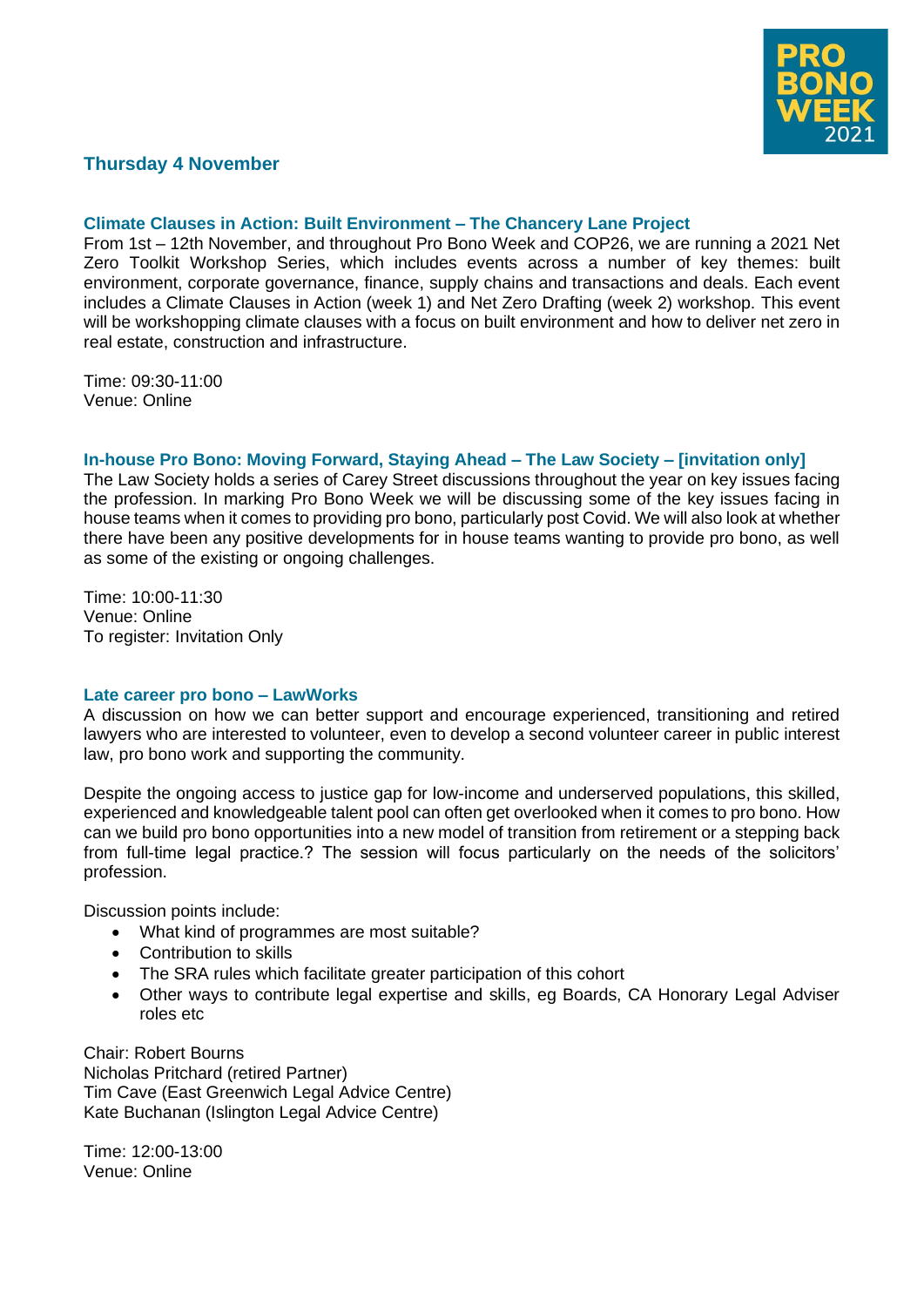

# **Thursday 4 November**

## **Climate Clauses in Action: Built Environment – The Chancery Lane Project**

From 1st – 12th November, and throughout Pro Bono Week and COP26, we are running a 2021 Net Zero Toolkit Workshop Series, which includes events across a number of key themes: built environment, corporate governance, finance, supply chains and transactions and deals. Each event includes a Climate Clauses in Action (week 1) and Net Zero Drafting (week 2) workshop. This event will be workshopping climate clauses with a focus on built environment and how to deliver net zero in real estate, construction and infrastructure.

Time: 09:30-11:00 Venue: Online

## **In-house Pro Bono: Moving Forward, Staying Ahead – The Law Society – [invitation only]**

The Law Society holds a series of Carey Street discussions throughout the year on key issues facing the profession. In marking Pro Bono Week we will be discussing some of the key issues facing in house teams when it comes to providing pro bono, particularly post Covid. We will also look at whether there have been any positive developments for in house teams wanting to provide pro bono, as well as some of the existing or ongoing challenges.

Time: 10:00-11:30 Venue: Online To register: Invitation Only

### **Late career pro bono – LawWorks**

A discussion on how we can better support and encourage experienced, transitioning and retired lawyers who are interested to volunteer, even to develop a second volunteer career in public interest law, pro bono work and supporting the community.

Despite the ongoing access to justice gap for low-income and underserved populations, this skilled, experienced and knowledgeable talent pool can often get overlooked when it comes to pro bono. How can we build pro bono opportunities into a new model of transition from retirement or a stepping back from full-time legal practice.? The session will focus particularly on the needs of the solicitors' profession.

Discussion points include:

- What kind of programmes are most suitable?
- Contribution to skills
- The SRA rules which facilitate greater participation of this cohort
- Other ways to contribute legal expertise and skills, eg Boards, CA Honorary Legal Adviser roles etc

Chair: Robert Bourns Nicholas Pritchard (retired Partner) Tim Cave (East Greenwich Legal Advice Centre) Kate Buchanan (Islington Legal Advice Centre)

Time: 12:00-13:00 Venue: Online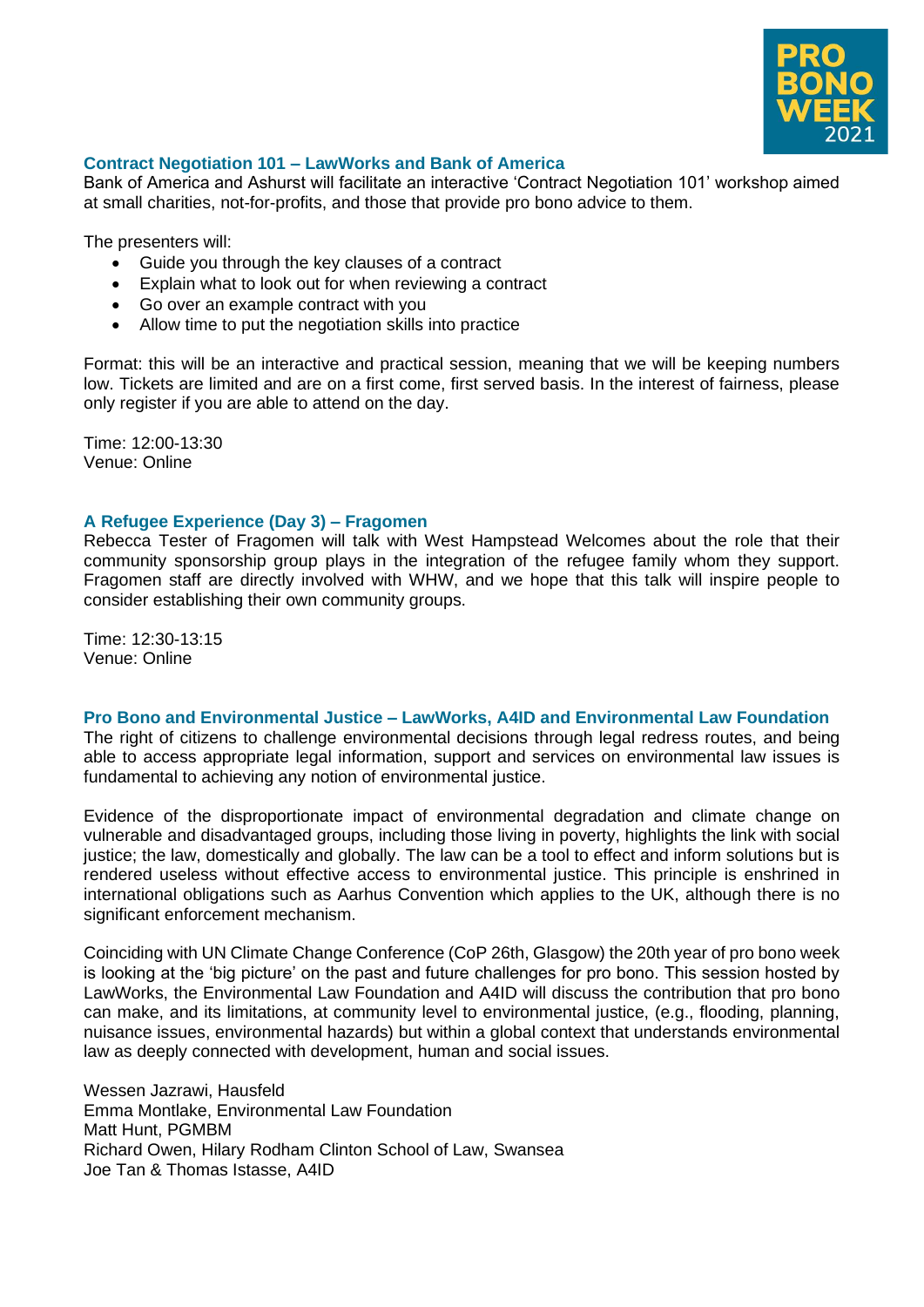

## **Contract Negotiation 101 – LawWorks and Bank of America**

Bank of America and Ashurst will facilitate an interactive 'Contract Negotiation 101' workshop aimed at small charities, not-for-profits, and those that provide pro bono advice to them.

The presenters will:

- Guide you through the key clauses of a contract
- Explain what to look out for when reviewing a contract
- Go over an example contract with you
- Allow time to put the negotiation skills into practice

Format: this will be an interactive and practical session, meaning that we will be keeping numbers low. Tickets are limited and are on a first come, first served basis. In the interest of fairness, please only register if you are able to attend on the day.

Time: 12:00-13:30 Venue: Online

### **A Refugee Experience (Day 3) – Fragomen**

Rebecca Tester of Fragomen will talk with West Hampstead Welcomes about the role that their community sponsorship group plays in the integration of the refugee family whom they support. Fragomen staff are directly involved with WHW, and we hope that this talk will inspire people to consider establishing their own community groups.

Time: 12:30-13:15 Venue: Online

### **Pro Bono and Environmental Justice – LawWorks, A4ID and Environmental Law Foundation**

The right of citizens to challenge environmental decisions through legal redress routes, and being able to access appropriate legal information, support and services on environmental law issues is fundamental to achieving any notion of environmental justice.

Evidence of the disproportionate impact of environmental degradation and climate change on vulnerable and disadvantaged groups, including those living in poverty, highlights the link with social justice; the law, domestically and globally. The law can be a tool to effect and inform solutions but is rendered useless without effective access to environmental justice. This principle is enshrined in international obligations such as Aarhus Convention which applies to the UK, although there is no significant enforcement mechanism.

Coinciding with UN Climate Change Conference (CoP 26th, Glasgow) the 20th year of pro bono week is looking at the 'big picture' on the past and future challenges for pro bono. This session hosted by LawWorks, the Environmental Law Foundation and A4ID will discuss the contribution that pro bono can make, and its limitations, at community level to environmental justice, (e.g., flooding, planning, nuisance issues, environmental hazards) but within a global context that understands environmental law as deeply connected with development, human and social issues.

Wessen Jazrawi, Hausfeld Emma Montlake, Environmental Law Foundation Matt Hunt, PGMBM Richard Owen, Hilary Rodham Clinton School of Law, Swansea Joe Tan & Thomas Istasse, A4ID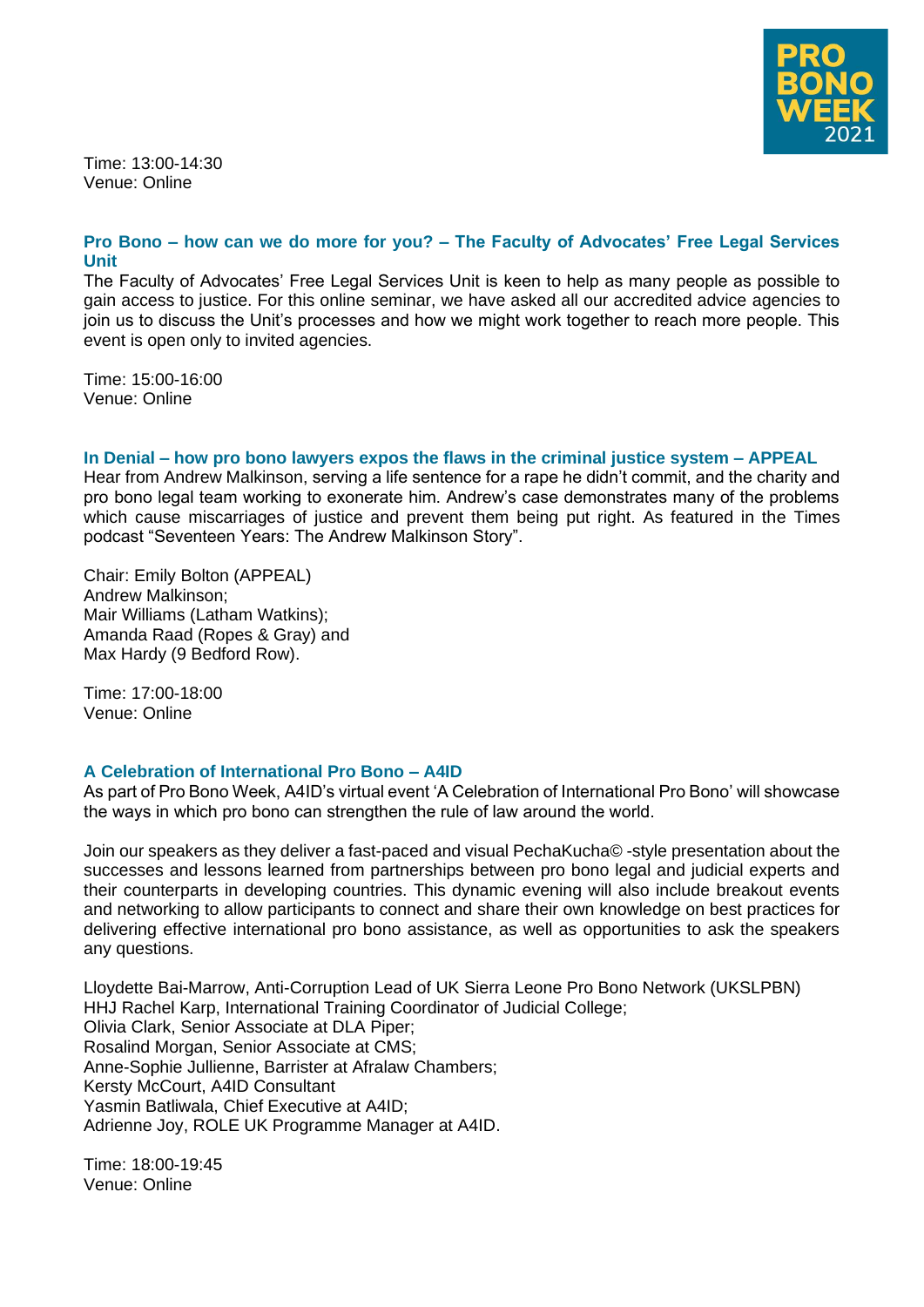

Time: 13:00-14:30 Venue: Online

# **Pro Bono – how can we do more for you? – The Faculty of Advocates' Free Legal Services Unit**

The Faculty of Advocates' Free Legal Services Unit is keen to help as many people as possible to gain access to justice. For this online seminar, we have asked all our accredited advice agencies to join us to discuss the Unit's processes and how we might work together to reach more people. This event is open only to invited agencies.

Time: 15:00-16:00 Venue: Online

### **In Denial – how pro bono lawyers expos the flaws in the criminal justice system – APPEAL**

Hear from Andrew Malkinson, serving a life sentence for a rape he didn't commit, and the charity and pro bono legal team working to exonerate him. Andrew's case demonstrates many of the problems which cause miscarriages of justice and prevent them being put right. As featured in the Times podcast "Seventeen Years: The Andrew Malkinson Story".

Chair: Emily Bolton (APPEAL) Andrew Malkinson; Mair Williams (Latham Watkins); Amanda Raad (Ropes & Gray) and Max Hardy (9 Bedford Row).

Time: 17:00-18:00 Venue: Online

## **A Celebration of International Pro Bono – A4ID**

As part of Pro Bono Week, A4ID's virtual event 'A Celebration of International Pro Bono' will showcase the ways in which pro bono can strengthen the rule of law around the world. 

Join our speakers as they deliver a fast-paced and visual PechaKucha© -style presentation about the successes and lessons learned from partnerships between pro bono legal and judicial experts and their counterparts in developing countries. This dynamic evening will also include breakout events and networking to allow participants to connect and share their own knowledge on best practices for delivering effective international pro bono assistance, as well as opportunities to ask the speakers any questions.

Lloydette Bai-Marrow, Anti-Corruption Lead of UK Sierra Leone Pro Bono Network (UKSLPBN) HHJ Rachel Karp, International Training Coordinator of Judicial College; Olivia Clark, Senior Associate at DLA Piper; Rosalind Morgan, Senior Associate at CMS; Anne-Sophie Jullienne, Barrister at Afralaw Chambers; Kersty McCourt, A4ID Consultant Yasmin Batliwala, Chief Executive at A4ID; Adrienne Joy, ROLE UK Programme Manager at A4ID.

Time: 18:00-19:45 Venue: Online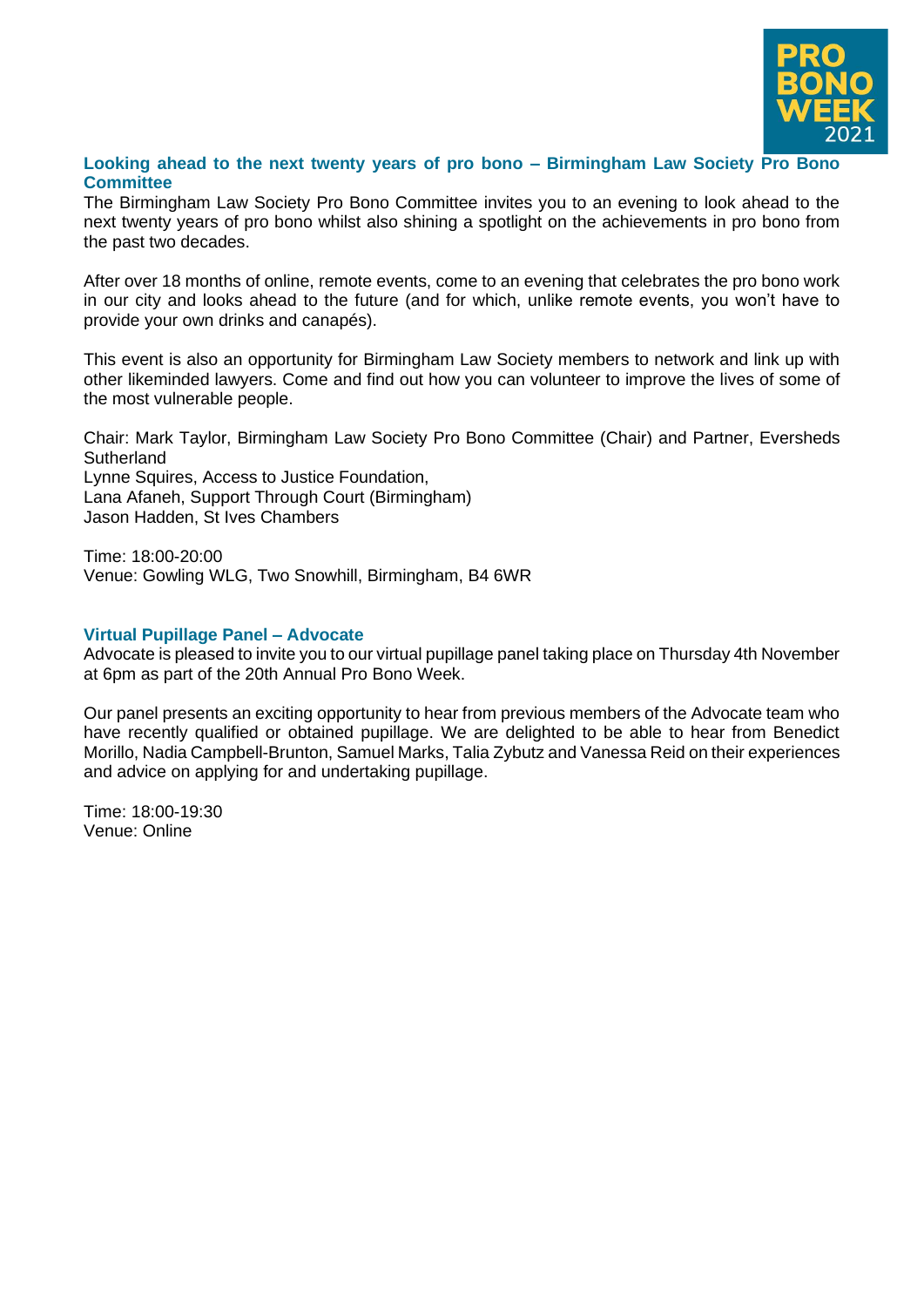

## **Looking ahead to the next twenty years of pro bono – Birmingham Law Society Pro Bono Committee**

The Birmingham Law Society Pro Bono Committee invites you to an evening to look ahead to the next twenty years of pro bono whilst also shining a spotlight on the achievements in pro bono from the past two decades.

After over 18 months of online, remote events, come to an evening that celebrates the pro bono work in our city and looks ahead to the future (and for which, unlike remote events, you won't have to provide your own drinks and canapés).

This event is also an opportunity for Birmingham Law Society members to network and link up with other likeminded lawyers. Come and find out how you can volunteer to improve the lives of some of the most vulnerable people.

Chair: Mark Taylor, Birmingham Law Society Pro Bono Committee (Chair) and Partner, Eversheds **Sutherland** 

Lynne Squires, Access to Justice Foundation, Lana Afaneh, Support Through Court (Birmingham) Jason Hadden, St Ives Chambers

Time: 18:00-20:00 Venue: Gowling WLG, Two Snowhill, Birmingham, B4 6WR

## **Virtual Pupillage Panel – Advocate**

Advocate is pleased to invite you to our virtual pupillage panel taking place on Thursday 4th November at 6pm as part of the 20th Annual Pro Bono Week.

Our panel presents an exciting opportunity to hear from previous members of the Advocate team who have recently qualified or obtained pupillage. We are delighted to be able to hear from Benedict Morillo, Nadia Campbell-Brunton, Samuel Marks, Talia Zybutz and Vanessa Reid on their experiences and advice on applying for and undertaking pupillage.

Time: 18:00-19:30 Venue: Online